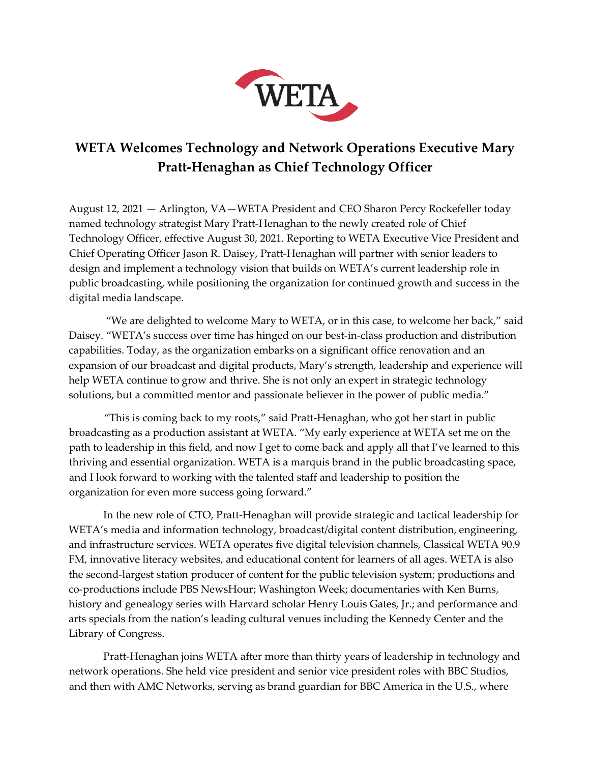

## **WETA Welcomes Technology and Network Operations Executive Mary Pratt-Henaghan as Chief Technology Officer**

August 12, 2021 — Arlington, VA—WETA President and CEO Sharon Percy Rockefeller today named technology strategist Mary Pratt-Henaghan to the newly created role of Chief Technology Officer, effective August 30, 2021. Reporting to WETA Executive Vice President and Chief Operating Officer Jason R. Daisey, Pratt-Henaghan will partner with senior leaders to design and implement a technology vision that builds on WETA's current leadership role in public broadcasting, while positioning the organization for continued growth and success in the digital media landscape.

"We are delighted to welcome Mary to WETA, or in this case, to welcome her back," said Daisey. "WETA's success over time has hinged on our best-in-class production and distribution capabilities. Today, as the organization embarks on a significant office renovation and an expansion of our broadcast and digital products, Mary's strength, leadership and experience will help WETA continue to grow and thrive. She is not only an expert in strategic technology solutions, but a committed mentor and passionate believer in the power of public media."

"This is coming back to my roots," said Pratt-Henaghan, who got her start in public broadcasting as a production assistant at WETA. "My early experience at WETA set me on the path to leadership in this field, and now I get to come back and apply all that I've learned to this thriving and essential organization. WETA is a marquis brand in the public broadcasting space, and I look forward to working with the talented staff and leadership to position the organization for even more success going forward."

In the new role of CTO, Pratt-Henaghan will provide strategic and tactical leadership for WETA's media and information technology, broadcast/digital content distribution, engineering, and infrastructure services. WETA operates five digital television channels, Classical WETA 90.9 FM, innovative literacy websites, and educational content for learners of all ages. WETA is also the second-largest station producer of content for the public television system; productions and co-productions include PBS NewsHour; Washington Week; documentaries with Ken Burns, history and genealogy series with Harvard scholar Henry Louis Gates, Jr.; and performance and arts specials from the nation's leading cultural venues including the Kennedy Center and the Library of Congress.

Pratt-Henaghan joins WETA after more than thirty years of leadership in technology and network operations. She held vice president and senior vice president roles with BBC Studios, and then with AMC Networks, serving as brand guardian for BBC America in the U.S., where